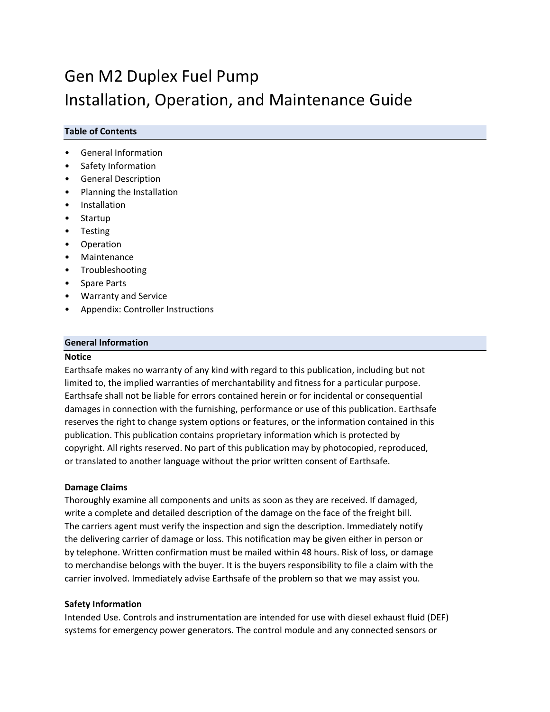# Gen M2 Duplex Fuel Pump Installation, Operation, and Maintenance Guide

# **Table of Contents**

- General Information
- Safety Information
- General Description
- Planning the Installation
- Installation
- **Startup**
- Testing
- Operation
- Maintenance
- Troubleshooting
- Spare Parts
- Warranty and Service
- Appendix: Controller Instructions

## **General Information**

#### **Notice**

Earthsafe makes no warranty of any kind with regard to this publication, including but not limited to, the implied warranties of merchantability and fitness for a particular purpose. Earthsafe shall not be liable for errors contained herein or for incidental or consequential damages in connection with the furnishing, performance or use of this publication. Earthsafe reserves the right to change system options or features, or the information contained in this publication. This publication contains proprietary information which is protected by copyright. All rights reserved. No part of this publication may by photocopied, reproduced, or translated to another language without the prior written consent of Earthsafe.

# **Damage Claims**

Thoroughly examine all components and units as soon as they are received. If damaged, write a complete and detailed description of the damage on the face of the freight bill. The carriers agent must verify the inspection and sign the description. Immediately notify the delivering carrier of damage or loss. This notification may be given either in person or by telephone. Written confirmation must be mailed within 48 hours. Risk of loss, or damage to merchandise belongs with the buyer. It is the buyers responsibility to file a claim with the carrier involved. Immediately advise Earthsafe of the problem so that we may assist you.

#### **Safety Information**

Intended Use. Controls and instrumentation are intended for use with diesel exhaust fluid (DEF) systems for emergency power generators. The control module and any connected sensors or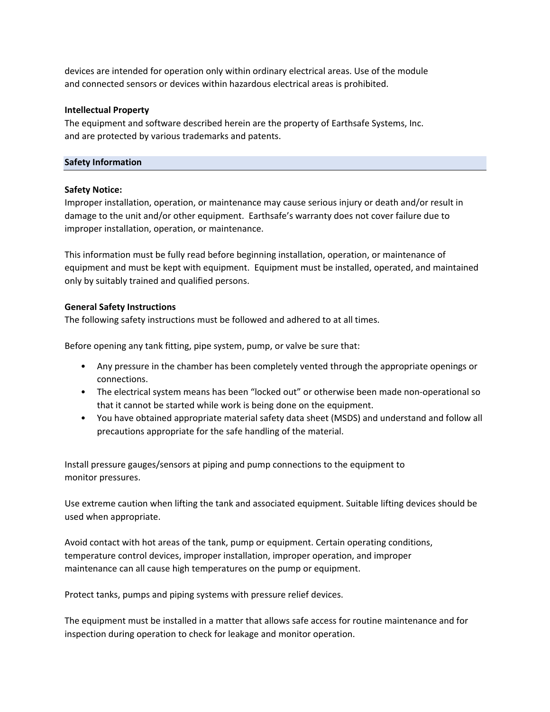devices are intended for operation only within ordinary electrical areas. Use of the module and connected sensors or devices within hazardous electrical areas is prohibited.

#### **Intellectual Property**

The equipment and software described herein are the property of Earthsafe Systems, Inc. and are protected by various trademarks and patents.

# **Safety Information**

## **Safety Notice:**

Improper installation, operation, or maintenance may cause serious injury or death and/or result in damage to the unit and/or other equipment. Earthsafe's warranty does not cover failure due to improper installation, operation, or maintenance.

This information must be fully read before beginning installation, operation, or maintenance of equipment and must be kept with equipment. Equipment must be installed, operated, and maintained only by suitably trained and qualified persons.

## **General Safety Instructions**

The following safety instructions must be followed and adhered to at all times.

Before opening any tank fitting, pipe system, pump, or valve be sure that:

- Any pressure in the chamber has been completely vented through the appropriate openings or connections.
- The electrical system means has been "locked out" or otherwise been made non‐operational so that it cannot be started while work is being done on the equipment.
- You have obtained appropriate material safety data sheet (MSDS) and understand and follow all precautions appropriate for the safe handling of the material.

Install pressure gauges/sensors at piping and pump connections to the equipment to monitor pressures.

Use extreme caution when lifting the tank and associated equipment. Suitable lifting devices should be used when appropriate.

Avoid contact with hot areas of the tank, pump or equipment. Certain operating conditions, temperature control devices, improper installation, improper operation, and improper maintenance can all cause high temperatures on the pump or equipment.

Protect tanks, pumps and piping systems with pressure relief devices.

The equipment must be installed in a matter that allows safe access for routine maintenance and for inspection during operation to check for leakage and monitor operation.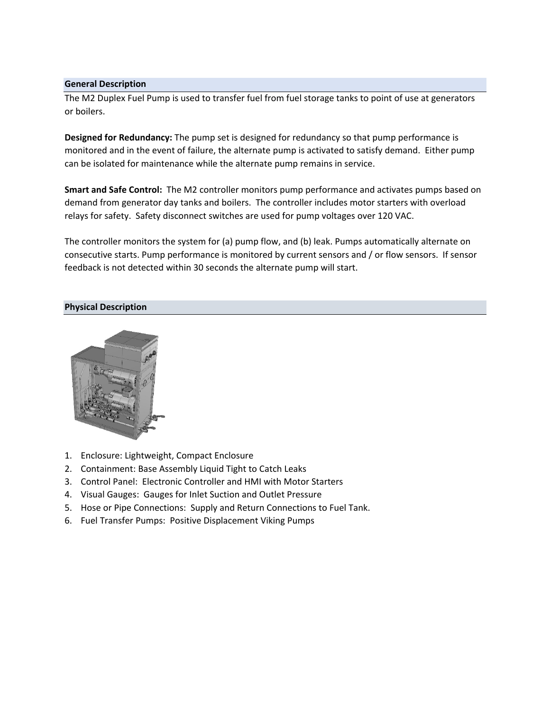## **General Description**

The M2 Duplex Fuel Pump is used to transfer fuel from fuel storage tanks to point of use at generators or boilers.

**Designed for Redundancy:** The pump set is designed for redundancy so that pump performance is monitored and in the event of failure, the alternate pump is activated to satisfy demand. Either pump can be isolated for maintenance while the alternate pump remains in service.

**Smart and Safe Control:** The M2 controller monitors pump performance and activates pumps based on demand from generator day tanks and boilers. The controller includes motor starters with overload relays for safety. Safety disconnect switches are used for pump voltages over 120 VAC.

The controller monitors the system for (a) pump flow, and (b) leak. Pumps automatically alternate on consecutive starts. Pump performance is monitored by current sensors and / or flow sensors. If sensor feedback is not detected within 30 seconds the alternate pump will start.

# **Physical Description**



- 1. Enclosure: Lightweight, Compact Enclosure
- 2. Containment: Base Assembly Liquid Tight to Catch Leaks
- 3. Control Panel: Electronic Controller and HMI with Motor Starters
- 4. Visual Gauges: Gauges for Inlet Suction and Outlet Pressure
- 5. Hose or Pipe Connections: Supply and Return Connections to Fuel Tank.
- 6. Fuel Transfer Pumps: Positive Displacement Viking Pumps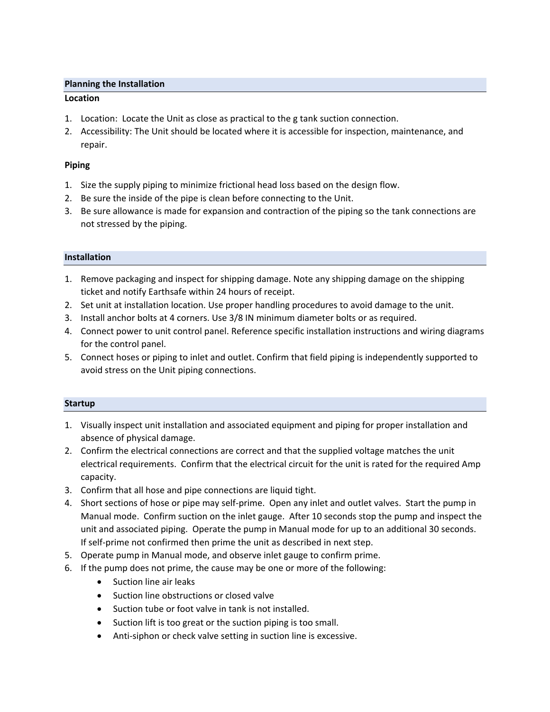# **Planning the Installation**

# **Location**

- 1. Location: Locate the Unit as close as practical to the g tank suction connection.
- 2. Accessibility: The Unit should be located where it is accessible for inspection, maintenance, and repair.

# **Piping**

- 1. Size the supply piping to minimize frictional head loss based on the design flow.
- 2. Be sure the inside of the pipe is clean before connecting to the Unit.
- 3. Be sure allowance is made for expansion and contraction of the piping so the tank connections are not stressed by the piping.

# **Installation**

- 1. Remove packaging and inspect for shipping damage. Note any shipping damage on the shipping ticket and notify Earthsafe within 24 hours of receipt.
- 2. Set unit at installation location. Use proper handling procedures to avoid damage to the unit.
- 3. Install anchor bolts at 4 corners. Use 3/8 IN minimum diameter bolts or as required.
- 4. Connect power to unit control panel. Reference specific installation instructions and wiring diagrams for the control panel.
- 5. Connect hoses or piping to inlet and outlet. Confirm that field piping is independently supported to avoid stress on the Unit piping connections.

#### **Startup**

- 1. Visually inspect unit installation and associated equipment and piping for proper installation and absence of physical damage.
- 2. Confirm the electrical connections are correct and that the supplied voltage matches the unit electrical requirements. Confirm that the electrical circuit for the unit is rated for the required Amp capacity.
- 3. Confirm that all hose and pipe connections are liquid tight.
- 4. Short sections of hose or pipe may self‐prime. Open any inlet and outlet valves. Start the pump in Manual mode. Confirm suction on the inlet gauge. After 10 seconds stop the pump and inspect the unit and associated piping. Operate the pump in Manual mode for up to an additional 30 seconds. If self‐prime not confirmed then prime the unit as described in next step.
- 5. Operate pump in Manual mode, and observe inlet gauge to confirm prime.
- 6. If the pump does not prime, the cause may be one or more of the following:
	- Suction line air leaks
	- Suction line obstructions or closed valve
	- Suction tube or foot valve in tank is not installed.
	- Suction lift is too great or the suction piping is too small.
	- Anti-siphon or check valve setting in suction line is excessive.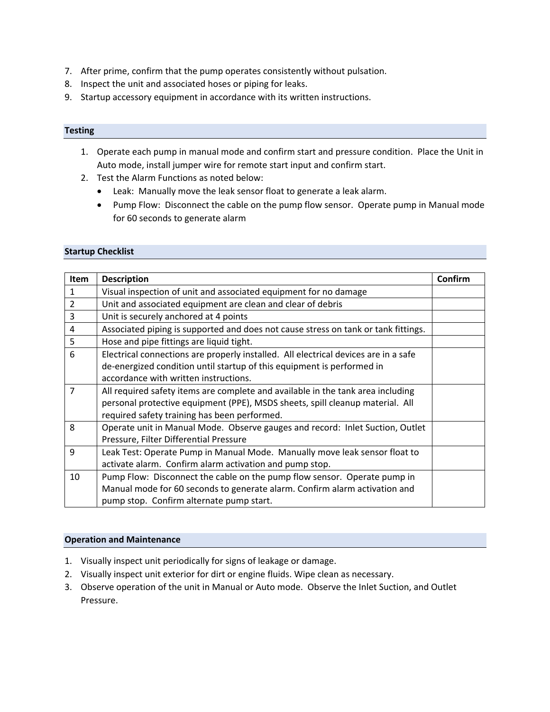- 7. After prime, confirm that the pump operates consistently without pulsation.
- 8. Inspect the unit and associated hoses or piping for leaks.
- 9. Startup accessory equipment in accordance with its written instructions.

# **Testing**

- 1. Operate each pump in manual mode and confirm start and pressure condition. Place the Unit in Auto mode, install jumper wire for remote start input and confirm start.
- 2. Test the Alarm Functions as noted below:
	- Leak: Manually move the leak sensor float to generate a leak alarm.
	- Pump Flow: Disconnect the cable on the pump flow sensor. Operate pump in Manual mode for 60 seconds to generate alarm

## **Startup Checklist**

| <b>Item</b>    | <b>Description</b>                                                                  | Confirm |
|----------------|-------------------------------------------------------------------------------------|---------|
| $\mathbf{1}$   | Visual inspection of unit and associated equipment for no damage                    |         |
| $\overline{2}$ | Unit and associated equipment are clean and clear of debris                         |         |
| 3              | Unit is securely anchored at 4 points                                               |         |
| 4              | Associated piping is supported and does not cause stress on tank or tank fittings.  |         |
| 5              | Hose and pipe fittings are liquid tight.                                            |         |
| 6              | Electrical connections are properly installed. All electrical devices are in a safe |         |
|                | de-energized condition until startup of this equipment is performed in              |         |
|                | accordance with written instructions.                                               |         |
| $\overline{7}$ | All required safety items are complete and available in the tank area including     |         |
|                | personal protective equipment (PPE), MSDS sheets, spill cleanup material. All       |         |
|                | required safety training has been performed.                                        |         |
| 8              | Operate unit in Manual Mode. Observe gauges and record: Inlet Suction, Outlet       |         |
|                | Pressure, Filter Differential Pressure                                              |         |
| 9              | Leak Test: Operate Pump in Manual Mode. Manually move leak sensor float to          |         |
|                | activate alarm. Confirm alarm activation and pump stop.                             |         |
| 10             | Pump Flow: Disconnect the cable on the pump flow sensor. Operate pump in            |         |
|                | Manual mode for 60 seconds to generate alarm. Confirm alarm activation and          |         |
|                | pump stop. Confirm alternate pump start.                                            |         |

#### **Operation and Maintenance**

- 1. Visually inspect unit periodically for signs of leakage or damage.
- 2. Visually inspect unit exterior for dirt or engine fluids. Wipe clean as necessary.
- 3. Observe operation of the unit in Manual or Auto mode. Observe the Inlet Suction, and Outlet Pressure.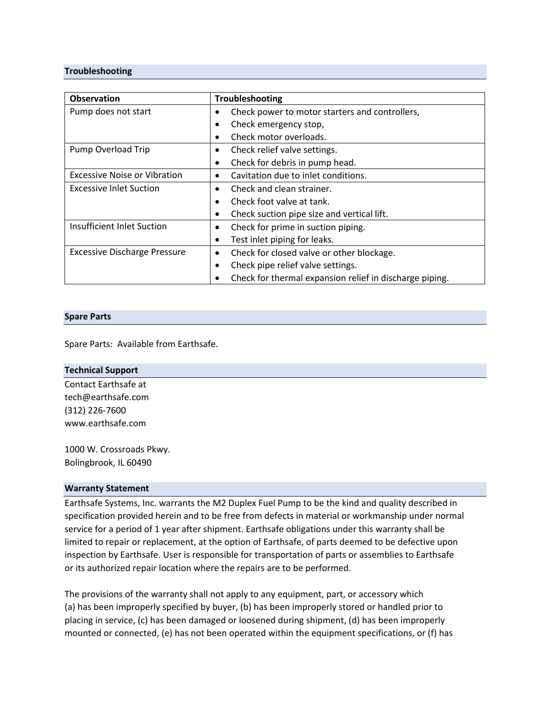## **Troubleshooting**

| <b>Observation</b>                  | <b>Troubleshooting</b>                                  |
|-------------------------------------|---------------------------------------------------------|
| Pump does not start                 | Check power to motor starters and controllers,          |
|                                     | Check emergency stop,                                   |
|                                     | Check motor overloads.                                  |
| Pump Overload Trip                  | Check relief valve settings.                            |
|                                     | Check for debris in pump head.                          |
| Excessive Noise or Vibration        | Cavitation due to inlet conditions.                     |
| <b>Excessive Inlet Suction</b>      | Check and clean strainer.                               |
|                                     | Check foot valve at tank.                               |
|                                     | Check suction pipe size and vertical lift.              |
| Insufficient Inlet Suction          | Check for prime in suction piping.                      |
|                                     | Test inlet piping for leaks.                            |
| <b>Excessive Discharge Pressure</b> | Check for closed valve or other blockage.<br>$\bullet$  |
|                                     | Check pipe relief valve settings.                       |
|                                     | Check for thermal expansion relief in discharge piping. |

#### **Spare Parts**

Spare Parts: Available from Earthsafe.

| <b>Technical Support</b> |  |
|--------------------------|--|
| Contact Earthsafe at     |  |
| tech@earthsafe.com       |  |
| $(312)$ 226-7600         |  |
| www.earthsafe.com        |  |
| 1000 W. Crossroads Pkwy. |  |
| Bolingbrook, IL 60490    |  |

#### **Warranty Statement**

Earthsafe Systems, Inc. warrants the M2 Duplex Fuel Pump to be the kind and quality described in specification provided herein and to be free from defects in material or workmanship under normal service for a period of 1 year after shipment. Earthsafe obligations under this warranty shall be limited to repair or replacement, at the option of Earthsafe, of parts deemed to be defective upon inspection by Earthsafe. User is responsible for transportation of parts or assemblies to Earthsafe or its authorized repair location where the repairs are to be performed.

The provisions of the warranty shall not apply to any equipment, part, or accessory which (a) has been improperly specified by buyer, (b) has been improperly stored or handled prior to placing in service, (c) has been damaged or loosened during shipment, (d) has been improperly mounted or connected, (e) has not been operated within the equipment specifications, or (f) has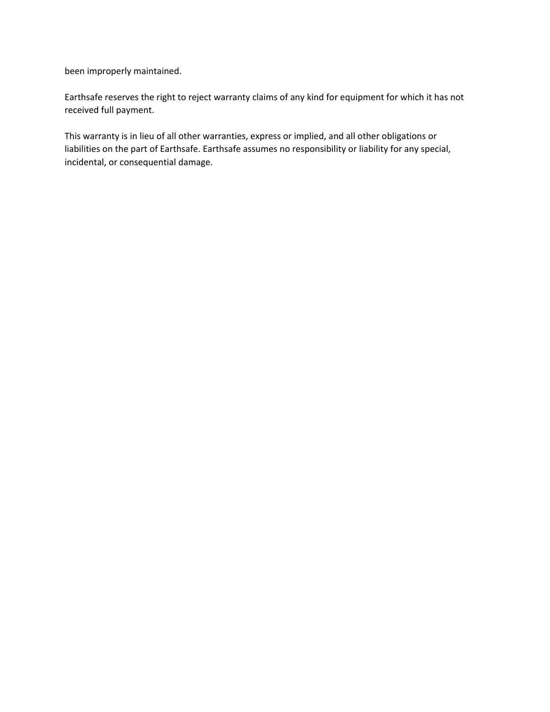been improperly maintained.

Earthsafe reserves the right to reject warranty claims of any kind for equipment for which it has not received full payment.

This warranty is in lieu of all other warranties, express or implied, and all other obligations or liabilities on the part of Earthsafe. Earthsafe assumes no responsibility or liability for any special, incidental, or consequential damage.